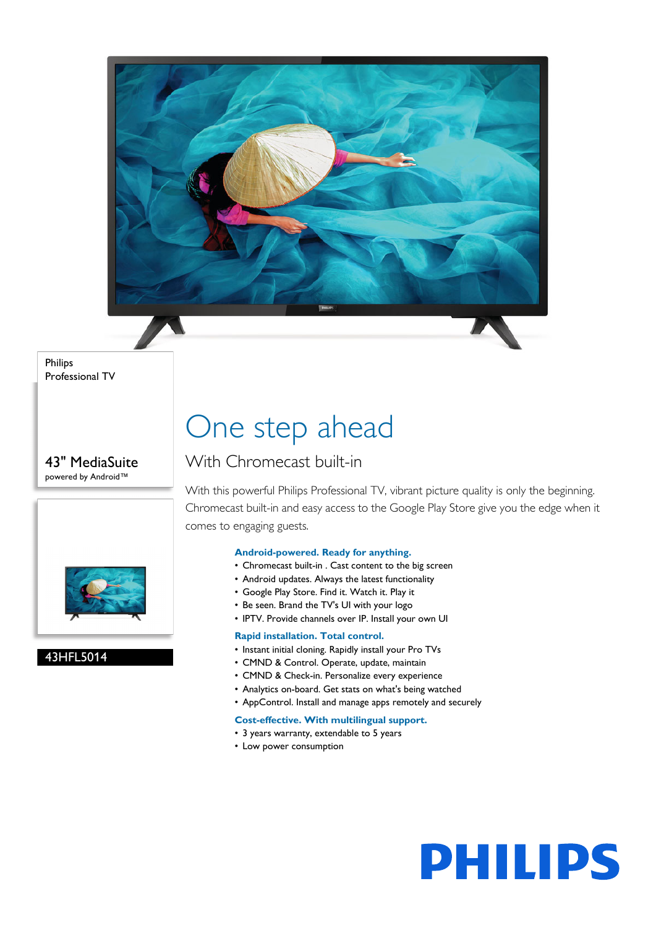

Philips Professional TV

43" MediaSuite powered by Android™



#### 43HFL5014

## One step ahead

### With Chromecast built-in

With this powerful Philips Professional TV, vibrant picture quality is only the beginning. Chromecast built-in and easy access to the Google Play Store give you the edge when it comes to engaging guests.

#### **Android-powered. Ready for anything.**

- Chromecast built-in . Cast content to the big screen
- Android updates. Always the latest functionality
- Google Play Store. Find it. Watch it. Play it
- Be seen. Brand the TV's UI with your logo
- IPTV. Provide channels over IP. Install your own UI

#### **Rapid installation. Total control.**

- Instant initial cloning. Rapidly install your Pro TVs
- CMND & Control. Operate, update, maintain
- CMND & Check-in. Personalize every experience
- Analytics on-board. Get stats on what's being watched
- AppControl. Install and manage apps remotely and securely

#### **Cost-effective. With multilingual support.**

- 3 years warranty, extendable to 5 years
- Low power consumption

# **PHILIPS**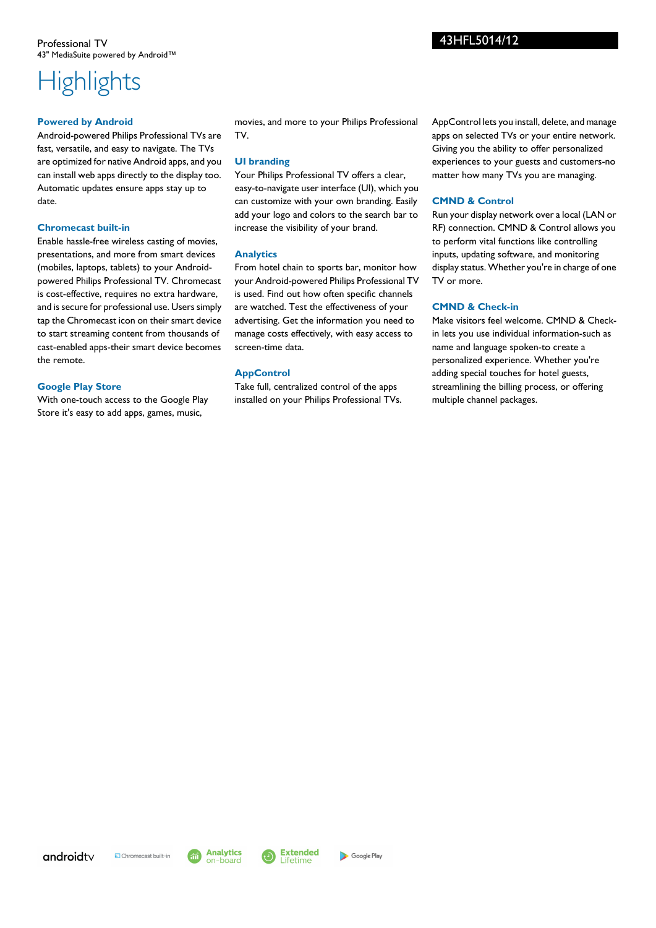## **Highlights**

#### **Powered by Android**

Android-powered Philips Professional TVs are fast, versatile, and easy to navigate. The TVs are optimized for native Android apps, and you can install web apps directly to the display too. Automatic updates ensure apps stay up to date.

#### **Chromecast built-in**

Enable hassle-free wireless casting of movies, presentations, and more from smart devices (mobiles, laptops, tablets) to your Androidpowered Philips Professional TV. Chromecast is cost-effective, requires no extra hardware, and is secure for professional use. Users simply tap the Chromecast icon on their smart device to start streaming content from thousands of cast-enabled apps-their smart device becomes the remote.

#### **Google Play Store**

With one-touch access to the Google Play Store it's easy to add apps, games, music,

movies, and more to your Philips Professional TV.

#### **UI branding**

Your Philips Professional TV offers a clear, easy-to-navigate user interface (UI), which you can customize with your own branding. Easily add your logo and colors to the search bar to increase the visibility of your brand.

#### **Analytics**

From hotel chain to sports bar, monitor how your Android-powered Philips Professional TV is used. Find out how often specific channels are watched. Test the effectiveness of your advertising. Get the information you need to manage costs effectively, with easy access to screen-time data.

#### **AppControl**

Take full, centralized control of the apps installed on your Philips Professional TVs. AppControl lets you install, delete, and manage apps on selected TVs or your entire network. Giving you the ability to offer personalized experiences to your guests and customers-no matter how many TVs you are managing.

#### **CMND & Control**

Run your display network over a local (LAN or RF) connection. CMND & Control allows you to perform vital functions like controlling inputs, updating software, and monitoring display status. Whether you're in charge of one TV or more.

#### **CMND & Check-in**

Make visitors feel welcome. CMND & Checkin lets you use individual information-such as name and language spoken-to create a personalized experience. Whether you're adding special touches for hotel guests, streamlining the billing process, or offering multiple channel packages.